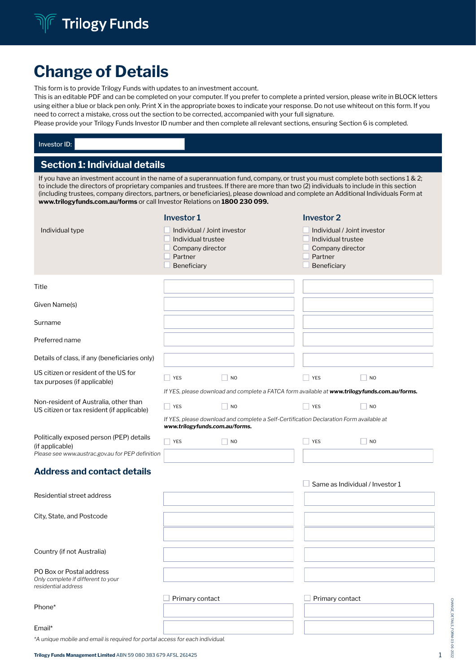# Change of Details

This form is to provide Trilogy Funds with updates to an investment account.

This is an editable PDF and can be completed on your computer. If you prefer to complete a printed version, please write in BLOCK letters using either a blue or black pen only. Print X in the appropriate boxes to indicate your response. Do not use whiteout on this form. If you need to correct a mistake, cross out the section to be corrected, accompanied with your full signature.

Please provide your Trilogy Funds Investor ID number and then complete all relevant sections, ensuring Section 6 is completed.

| Investor ID:                                                                                                                                                                                                                                                                                                                                                                                                                                                                                      |                       |                                                                                      |                                             |                                                                                               |                              |                                                       |                                 |  |
|---------------------------------------------------------------------------------------------------------------------------------------------------------------------------------------------------------------------------------------------------------------------------------------------------------------------------------------------------------------------------------------------------------------------------------------------------------------------------------------------------|-----------------------|--------------------------------------------------------------------------------------|---------------------------------------------|-----------------------------------------------------------------------------------------------|------------------------------|-------------------------------------------------------|---------------------------------|--|
| <b>Section 1: Individual details</b>                                                                                                                                                                                                                                                                                                                                                                                                                                                              |                       |                                                                                      |                                             |                                                                                               |                              |                                                       |                                 |  |
| If you have an investment account in the name of a superannuation fund, company, or trust you must complete both sections $1 \& 2$ ;<br>to include the directors of proprietary companies and trustees. If there are more than two (2) individuals to include in this section<br>(including trustees, company directors, partners, or beneficiaries), please download and complete an Additional Individuals Form at<br>www.trilogyfunds.com.au/forms or call Investor Relations on 1800 230 099. |                       |                                                                                      |                                             |                                                                                               |                              |                                                       |                                 |  |
| Individual type                                                                                                                                                                                                                                                                                                                                                                                                                                                                                   | Investor 1<br>Partner | Individual / Joint investor<br>Individual trustee<br>Company director<br>Beneficiary |                                             |                                                                                               | <b>Investor 2</b><br>Partner | Individual trustee<br>Company director<br>Beneficiary | Individual / Joint investor     |  |
| Title                                                                                                                                                                                                                                                                                                                                                                                                                                                                                             |                       |                                                                                      |                                             |                                                                                               |                              |                                                       |                                 |  |
| Given Name(s)                                                                                                                                                                                                                                                                                                                                                                                                                                                                                     |                       |                                                                                      |                                             |                                                                                               |                              |                                                       |                                 |  |
| Surname                                                                                                                                                                                                                                                                                                                                                                                                                                                                                           |                       |                                                                                      |                                             |                                                                                               |                              |                                                       |                                 |  |
| Preferred name                                                                                                                                                                                                                                                                                                                                                                                                                                                                                    |                       |                                                                                      |                                             |                                                                                               |                              |                                                       |                                 |  |
| Details of class, if any (beneficiaries only)                                                                                                                                                                                                                                                                                                                                                                                                                                                     |                       |                                                                                      |                                             |                                                                                               |                              |                                                       |                                 |  |
| US citizen or resident of the US for<br>tax purposes (if applicable)                                                                                                                                                                                                                                                                                                                                                                                                                              | YES                   |                                                                                      | N <sub>O</sub>                              | If YES, please download and complete a FATCA form available at www.trilogyfunds.com.au/forms. | <b>YES</b>                   |                                                       | N <sub>O</sub>                  |  |
| Non-resident of Australia, other than<br>US citizen or tax resident (if applicable)                                                                                                                                                                                                                                                                                                                                                                                                               | YES                   |                                                                                      | <b>NO</b><br>www.trilogyfunds.com.au/forms. | If YES, please download and complete a Self-Certification Declaration Form available at       | <b>YES</b>                   |                                                       | N <sub>O</sub>                  |  |
| Politically exposed person (PEP) details<br>(if applicable)<br>Please see www.austrac.gov.au for PEP definition                                                                                                                                                                                                                                                                                                                                                                                   | YES                   |                                                                                      | NO                                          |                                                                                               | <b>YES</b>                   |                                                       | N <sub>O</sub>                  |  |
| <b>Address and contact details</b>                                                                                                                                                                                                                                                                                                                                                                                                                                                                |                       |                                                                                      |                                             |                                                                                               |                              |                                                       | Same as Individual / Investor 1 |  |
| Residential street address                                                                                                                                                                                                                                                                                                                                                                                                                                                                        |                       |                                                                                      |                                             |                                                                                               |                              |                                                       |                                 |  |
| City, State, and Postcode                                                                                                                                                                                                                                                                                                                                                                                                                                                                         |                       |                                                                                      |                                             |                                                                                               |                              |                                                       |                                 |  |
| Country (if not Australia)                                                                                                                                                                                                                                                                                                                                                                                                                                                                        |                       |                                                                                      |                                             |                                                                                               |                              |                                                       |                                 |  |
| PO Box or Postal address<br>Only complete if different to your<br>residential address                                                                                                                                                                                                                                                                                                                                                                                                             |                       |                                                                                      |                                             |                                                                                               |                              |                                                       |                                 |  |
| Phone*                                                                                                                                                                                                                                                                                                                                                                                                                                                                                            |                       | Primary contact                                                                      |                                             |                                                                                               |                              | Primary contact                                       |                                 |  |
| Email*                                                                                                                                                                                                                                                                                                                                                                                                                                                                                            |                       |                                                                                      |                                             |                                                                                               |                              |                                                       |                                 |  |

*\*A unique mobile and email is required for portal access for each individual.*

CHANGE\_DETAILS\_FORM-03-06-2022

CHANGE\_DETAILS\_FORM-03-06-2022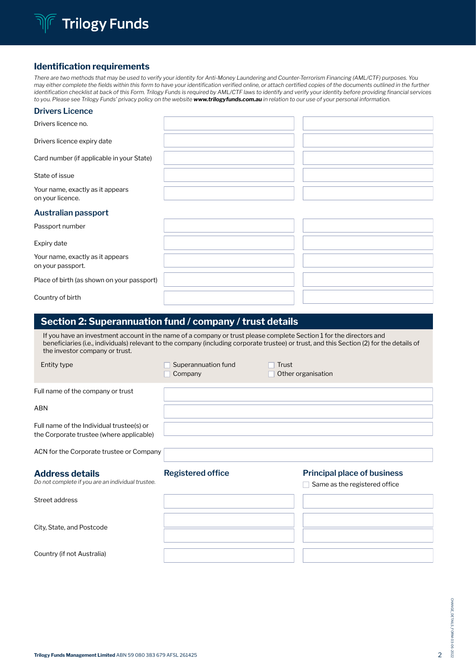

## Identification requirements

*There are two methods that may be used to verify your identity for Anti-Money Laundering and Counter-Terrorism Financing (AML/CTF) purposes. You may either complete the fields within this form to have your identification verified online, or attach certified copies of the documents outlined in the further identification checklist at back of this Form. Trilogy Funds is required by AML/CTF laws to identify and verify your identity before providing financial services to you. Please see Trilogy Funds' privacy policy on the website www.trilogyfunds.com.au in relation to our use of your personal information.*

#### **Drivers Licence**

| Drivers licence no.                                                                                                                                                         |                                |       |                                                                     |
|-----------------------------------------------------------------------------------------------------------------------------------------------------------------------------|--------------------------------|-------|---------------------------------------------------------------------|
| Drivers licence expiry date                                                                                                                                                 |                                |       |                                                                     |
| Card number (if applicable in your State)                                                                                                                                   |                                |       |                                                                     |
| State of issue                                                                                                                                                              |                                |       |                                                                     |
| Your name, exactly as it appears<br>on your licence.                                                                                                                        |                                |       |                                                                     |
| <b>Australian passport</b>                                                                                                                                                  |                                |       |                                                                     |
| Passport number                                                                                                                                                             |                                |       |                                                                     |
| Expiry date                                                                                                                                                                 |                                |       |                                                                     |
| Your name, exactly as it appears<br>on your passport.                                                                                                                       |                                |       |                                                                     |
| Place of birth (as shown on your passport)                                                                                                                                  |                                |       |                                                                     |
| Country of birth                                                                                                                                                            |                                |       |                                                                     |
| beneficiaries (i.e., individuals) relevant to the company (including corporate trustee) or trust, and this Section (2) for the details of<br>the investor company or trust. |                                |       |                                                                     |
| <b>Entity type</b>                                                                                                                                                          | Superannuation fund<br>Company | Trust | Other organisation                                                  |
|                                                                                                                                                                             |                                |       |                                                                     |
| Full name of the company or trust                                                                                                                                           |                                |       |                                                                     |
| ABN                                                                                                                                                                         |                                |       |                                                                     |
| Full name of the Individual trustee(s) or<br>the Corporate trustee (where applicable)                                                                                       |                                |       |                                                                     |
| ACN for the Corporate trustee or Company                                                                                                                                    |                                |       |                                                                     |
| <b>Address details</b><br>Do not complete if you are an individual trustee.                                                                                                 | <b>Registered office</b>       |       | <b>Principal place of business</b><br>Same as the registered office |
| Street address                                                                                                                                                              |                                |       |                                                                     |
|                                                                                                                                                                             |                                |       |                                                                     |
| City, State, and Postcode                                                                                                                                                   |                                |       |                                                                     |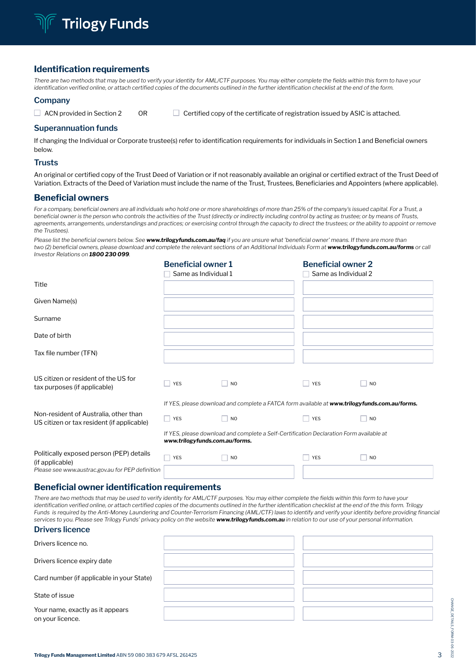

## Identification requirements

There are two methods that may be used to verify your identity for AML/CTF purposes. You may either complete the fields within this form to have your *identification verified online, or attach certified copies of the documents outlined in the further identification checklist at the end of the form.*

#### **Company**

|  | . ACN provided in Section 2 |  | $\perp$ Certified copy of the certificate of registration issued by ASIC is attached |
|--|-----------------------------|--|--------------------------------------------------------------------------------------|
|--|-----------------------------|--|--------------------------------------------------------------------------------------|

#### **Superannuation funds**

If changing the Individual or Corporate trustee(s) refer to identification requirements for individuals in Section 1 and Beneficial owners below.

#### **Trusts**

An original or certified copy of the Trust Deed of Variation or if not reasonably available an original or certified extract of the Trust Deed of Variation. Extracts of the Deed of Variation must include the name of the Trust, Trustees, Beneficiaries and Appointers (where applicable).

#### Beneficial owners

*For a company, beneficial owners are all individuals who hold one or more shareholdings of more than 25% of the company's issued capital. For a Trust, a beneficial owner is the person who controls the activities of the Trust (directly or indirectly including control by acting as trustee; or by means of Trusts, agreements, arrangements, understandings and practices; or exercising control through the capacity to direct the trustees; or the ability to appoint or remove the Trustees).* 

*Please list the beneficial owners below. See www.trilogyfunds.com.au/faq if you are unsure what 'beneficial owner' means. If there are more than two (2) beneficial owners, please download and complete the relevant sections of an Additional Individuals Form at www.trilogyfunds.com.au/forms or call Investor Relations on 1800 230 099.*

|                                                                                     | <b>Beneficial owner 1</b><br>Same as Individual 1 |                                                                                               | <b>Beneficial owner 2</b><br>Same as Individual 2 |                |
|-------------------------------------------------------------------------------------|---------------------------------------------------|-----------------------------------------------------------------------------------------------|---------------------------------------------------|----------------|
| Title                                                                               |                                                   |                                                                                               |                                                   |                |
| Given Name(s)                                                                       |                                                   |                                                                                               |                                                   |                |
| Surname                                                                             |                                                   |                                                                                               |                                                   |                |
| Date of birth                                                                       |                                                   |                                                                                               |                                                   |                |
| Tax file number (TFN)                                                               |                                                   |                                                                                               |                                                   |                |
| US citizen or resident of the US for<br>tax purposes (if applicable)                | <b>YES</b>                                        | <b>NO</b>                                                                                     | <b>YES</b>                                        | N <sub>O</sub> |
|                                                                                     |                                                   | If YES, please download and complete a FATCA form available at www.trilogyfunds.com.au/forms. |                                                   |                |
| Non-resident of Australia, other than<br>US citizen or tax resident (if applicable) | YES                                               | <b>NO</b>                                                                                     | <b>YES</b>                                        | N <sub>O</sub> |
|                                                                                     | www.trilogyfunds.com.au/forms.                    | If YES, please download and complete a Self-Certification Declaration Form available at       |                                                   |                |
| Politically exposed person (PEP) details<br>(if applicable)                         | <b>YES</b>                                        | <b>NO</b>                                                                                     | <b>YES</b>                                        | N <sub>O</sub> |
| Please see www.austrac.gov.au for PEP definition                                    |                                                   |                                                                                               |                                                   |                |

## Beneficial owner identification requirements

*There are two methods that may be used to verify identity for AML/CTF purposes. You may either complete the fields within this form to have your identification verified online, or attach certified copies of the documents outlined in the further identification checklist at the end of the this form. Trilogy Funds is required by the Anti-Money Laundering and Counter-Terrorism Financing (AML/CTF) laws to identify and verify your identity before providing financial services to you. Please see Trilogy Funds' privacy policy on the website www.trilogyfunds.com.au in relation to our use of your personal information.*

|  | <b>Drivers licence</b> |  |
|--|------------------------|--|
|--|------------------------|--|

| Drivers licence no.                                  |  |
|------------------------------------------------------|--|
| Drivers licence expiry date                          |  |
| Card number (if applicable in your State)            |  |
| State of issue                                       |  |
| Your name, exactly as it appears<br>on your licence. |  |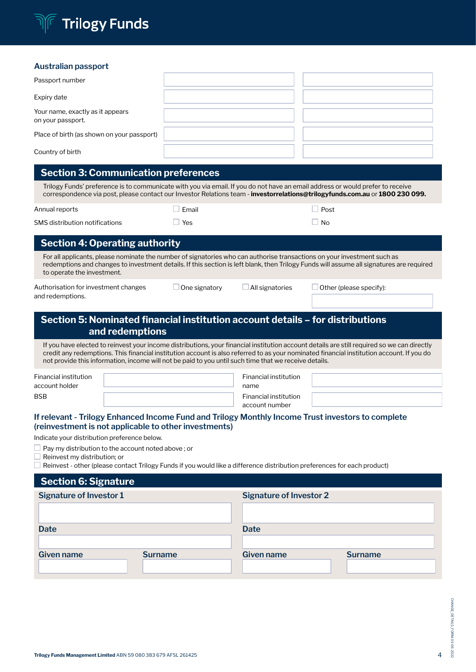

## **Australian passport**

| r lasti alian passipol t                                                                                                                                                                                                                                       |       |           |  |
|----------------------------------------------------------------------------------------------------------------------------------------------------------------------------------------------------------------------------------------------------------------|-------|-----------|--|
| Passport number                                                                                                                                                                                                                                                |       |           |  |
| Expiry date                                                                                                                                                                                                                                                    |       |           |  |
| Your name, exactly as it appears<br>on your passport.                                                                                                                                                                                                          |       |           |  |
| Place of birth (as shown on your passport)                                                                                                                                                                                                                     |       |           |  |
| Country of birth                                                                                                                                                                                                                                               |       |           |  |
| <b>Section 3: Communication preferences</b>                                                                                                                                                                                                                    |       |           |  |
| Trilogy Funds' preference is to communicate with you via email. If you do not have an email address or would prefer to receive<br>correspondence via post, please contact our Investor Relations team - investorrelations@trilogyfunds.com.au or 1800 230 099. |       |           |  |
| Annual reports                                                                                                                                                                                                                                                 | Email | Post      |  |
| SMS distribution notifications                                                                                                                                                                                                                                 | Yes   | $\Box$ No |  |
| <b>Section 4: Operating authority</b>                                                                                                                                                                                                                          |       |           |  |
|                                                                                                                                                                                                                                                                |       |           |  |

For all applicants, please nominate the number of signatories who can authorise transactions on your investment such as redemptions and changes to investment details. If this section is left blank, then Trilogy Funds will assume all signatures are required to operate the investment.

Authorisation for investment changes and redemptions.

| One signatory |
|---------------|
|---------------|

 $\Box$  One signatory  $\Box$  All signatories  $\Box$  Other (please specify):

## Section 5: Nominated financial institution account details – for distributions and redemptions

If you have elected to reinvest your income distributions, your financial institution account details are still required so we can directly credit any redemptions. This financial institution account is also referred to as your nominated financial institution account. If you do not provide this information, income will not be paid to you until such time that we receive details.

| <b>Financial institution</b><br>account holder | Financial institution<br>name           |  |
|------------------------------------------------|-----------------------------------------|--|
| <b>BSB</b>                                     | Financial institution<br>account number |  |

## **If relevant - Trilogy Enhanced Income Fund and Trilogy Monthly Income Trust investors to complete (reinvestment is not applicable to other investments)**

Indicate your distribution preference below.

 $\Box$  Pay my distribution to the account noted above; or

Reinvest my distribution; or

 $\Box$  Reinvest - other (please contact Trilogy Funds if you would like a difference distribution preferences for each product)

| <b>Section 6: Signature</b>    |                |                                |                |
|--------------------------------|----------------|--------------------------------|----------------|
| <b>Signature of Investor 1</b> |                | <b>Signature of Investor 2</b> |                |
|                                |                |                                |                |
| <b>Date</b>                    |                | <b>Date</b>                    |                |
| <b>Given name</b>              | <b>Surname</b> | <b>Given name</b>              | <b>Surname</b> |